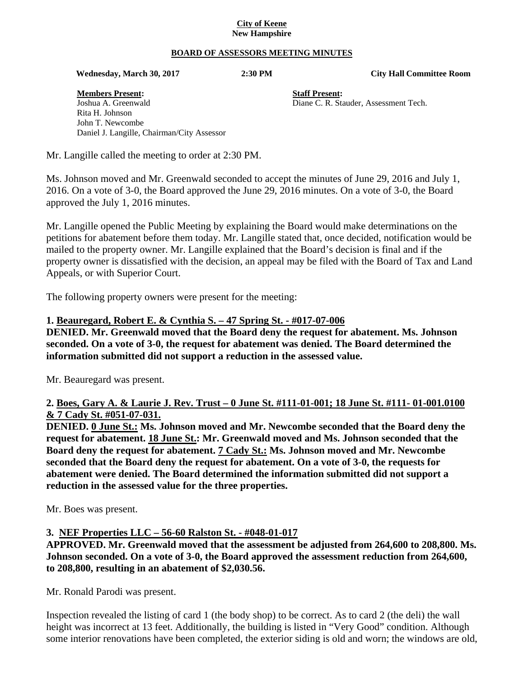#### **City of Keene New Hampshire**

#### **BOARD OF ASSESSORS MEETING MINUTES**

 **Wednesday, March 30, 2017 2:30 PM City Hall Committee Room** 

**Members Present: Staff Present:** Joshua A. Greenwald Diane C. R. Stauder, Assessment Tech. Rita H. Johnson John T. Newcombe Daniel J. Langille, Chairman/City Assessor

Mr. Langille called the meeting to order at 2:30 PM.

Ms. Johnson moved and Mr. Greenwald seconded to accept the minutes of June 29, 2016 and July 1, 2016. On a vote of 3-0, the Board approved the June 29, 2016 minutes. On a vote of 3-0, the Board approved the July 1, 2016 minutes.

Mr. Langille opened the Public Meeting by explaining the Board would make determinations on the petitions for abatement before them today. Mr. Langille stated that, once decided, notification would be mailed to the property owner. Mr. Langille explained that the Board's decision is final and if the property owner is dissatisfied with the decision, an appeal may be filed with the Board of Tax and Land Appeals, or with Superior Court.

The following property owners were present for the meeting:

#### **1. Beauregard, Robert E. & Cynthia S. – 47 Spring St. - #017-07-006**

**DENIED. Mr. Greenwald moved that the Board deny the request for abatement. Ms. Johnson seconded. On a vote of 3-0, the request for abatement was denied. The Board determined the information submitted did not support a reduction in the assessed value.** 

Mr. Beauregard was present.

#### **2. Boes, Gary A. & Laurie J. Rev. Trust – 0 June St. #111-01-001; 18 June St. #111- 01-001.0100 & 7 Cady St. #051-07-031.**

**DENIED. 0 June St.: Ms. Johnson moved and Mr. Newcombe seconded that the Board deny the request for abatement. 18 June St.: Mr. Greenwald moved and Ms. Johnson seconded that the Board deny the request for abatement. 7 Cady St.: Ms. Johnson moved and Mr. Newcombe seconded that the Board deny the request for abatement. On a vote of 3-0, the requests for abatement were denied. The Board determined the information submitted did not support a reduction in the assessed value for the three properties.** 

Mr. Boes was present.

#### **3. NEF Properties LLC – 56-60 Ralston St. - #048-01-017**

**APPROVED. Mr. Greenwald moved that the assessment be adjusted from 264,600 to 208,800. Ms. Johnson seconded. On a vote of 3-0, the Board approved the assessment reduction from 264,600, to 208,800, resulting in an abatement of \$2,030.56.** 

Mr. Ronald Parodi was present.

Inspection revealed the listing of card 1 (the body shop) to be correct. As to card 2 (the deli) the wall height was incorrect at 13 feet. Additionally, the building is listed in "Very Good" condition. Although some interior renovations have been completed, the exterior siding is old and worn; the windows are old,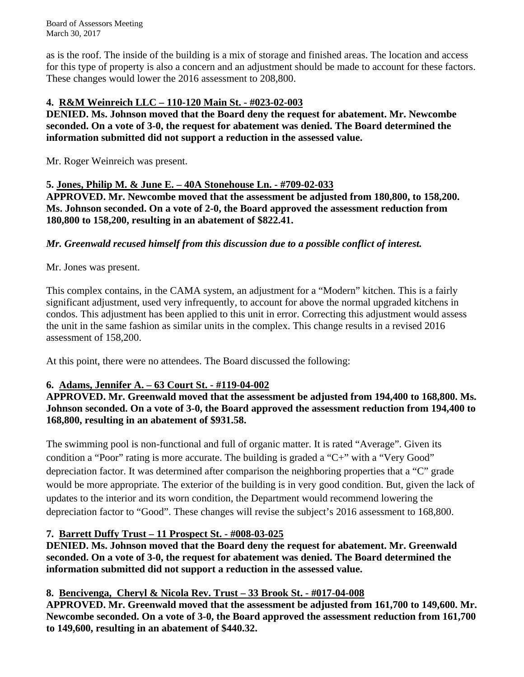Board of Assessors Meeting March 30, 2017

as is the roof. The inside of the building is a mix of storage and finished areas. The location and access for this type of property is also a concern and an adjustment should be made to account for these factors. These changes would lower the 2016 assessment to 208,800.

# **4. R&M Weinreich LLC – 110-120 Main St. - #023-02-003**

**DENIED. Ms. Johnson moved that the Board deny the request for abatement. Mr. Newcombe seconded. On a vote of 3-0, the request for abatement was denied. The Board determined the information submitted did not support a reduction in the assessed value.** 

Mr. Roger Weinreich was present.

# **5. Jones, Philip M. & June E. – 40A Stonehouse Ln. - #709-02-033**

**APPROVED. Mr. Newcombe moved that the assessment be adjusted from 180,800, to 158,200. Ms. Johnson seconded. On a vote of 2-0, the Board approved the assessment reduction from 180,800 to 158,200, resulting in an abatement of \$822.41.** 

# *Mr. Greenwald recused himself from this discussion due to a possible conflict of interest.*

# Mr. Jones was present.

This complex contains, in the CAMA system, an adjustment for a "Modern" kitchen. This is a fairly significant adjustment, used very infrequently, to account for above the normal upgraded kitchens in condos. This adjustment has been applied to this unit in error. Correcting this adjustment would assess the unit in the same fashion as similar units in the complex. This change results in a revised 2016 assessment of 158,200.

At this point, there were no attendees. The Board discussed the following:

# **6. Adams, Jennifer A. – 63 Court St. - #119-04-002**

**APPROVED. Mr. Greenwald moved that the assessment be adjusted from 194,400 to 168,800. Ms. Johnson seconded. On a vote of 3-0, the Board approved the assessment reduction from 194,400 to 168,800, resulting in an abatement of \$931.58.** 

The swimming pool is non-functional and full of organic matter. It is rated "Average". Given its condition a "Poor" rating is more accurate. The building is graded a "C+" with a "Very Good" depreciation factor. It was determined after comparison the neighboring properties that a "C" grade would be more appropriate. The exterior of the building is in very good condition. But, given the lack of updates to the interior and its worn condition, the Department would recommend lowering the depreciation factor to "Good". These changes will revise the subject's 2016 assessment to 168,800.

# **7. Barrett Duffy Trust – 11 Prospect St. - #008-03-025**

**DENIED. Ms. Johnson moved that the Board deny the request for abatement. Mr. Greenwald seconded. On a vote of 3-0, the request for abatement was denied. The Board determined the information submitted did not support a reduction in the assessed value.** 

# **8. Bencivenga, Cheryl & Nicola Rev. Trust – 33 Brook St. - #017-04-008**

**APPROVED. Mr. Greenwald moved that the assessment be adjusted from 161,700 to 149,600. Mr. Newcombe seconded. On a vote of 3-0, the Board approved the assessment reduction from 161,700 to 149,600, resulting in an abatement of \$440.32.**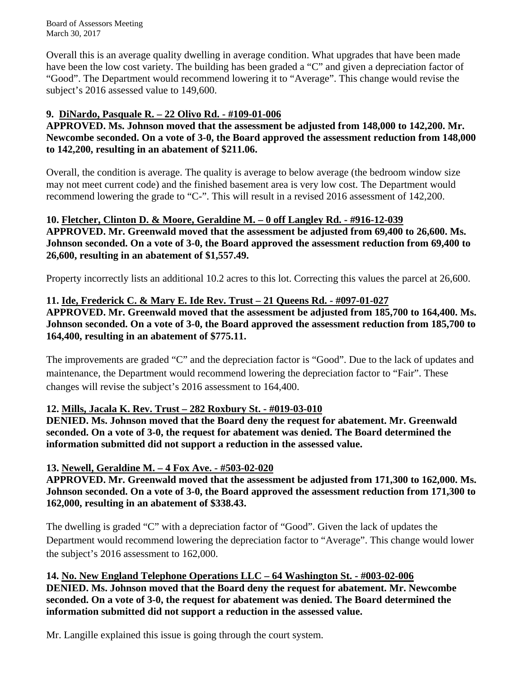Board of Assessors Meeting March 30, 2017

Overall this is an average quality dwelling in average condition. What upgrades that have been made have been the low cost variety. The building has been graded a "C" and given a depreciation factor of "Good". The Department would recommend lowering it to "Average". This change would revise the subject's 2016 assessed value to 149,600.

# **9. DiNardo, Pasquale R. – 22 Olivo Rd. - #109-01-006**

**APPROVED. Ms. Johnson moved that the assessment be adjusted from 148,000 to 142,200. Mr. Newcombe seconded. On a vote of 3-0, the Board approved the assessment reduction from 148,000 to 142,200, resulting in an abatement of \$211.06.** 

Overall, the condition is average. The quality is average to below average (the bedroom window size may not meet current code) and the finished basement area is very low cost. The Department would recommend lowering the grade to "C-". This will result in a revised 2016 assessment of 142,200.

# **10. Fletcher, Clinton D. & Moore, Geraldine M. – 0 off Langley Rd. - #916-12-039 APPROVED. Mr. Greenwald moved that the assessment be adjusted from 69,400 to 26,600. Ms. Johnson seconded. On a vote of 3-0, the Board approved the assessment reduction from 69,400 to 26,600, resulting in an abatement of \$1,557.49.**

Property incorrectly lists an additional 10.2 acres to this lot. Correcting this values the parcel at 26,600.

# **11. Ide, Frederick C. & Mary E. Ide Rev. Trust – 21 Queens Rd. - #097-01-027**

**APPROVED. Mr. Greenwald moved that the assessment be adjusted from 185,700 to 164,400. Ms. Johnson seconded. On a vote of 3-0, the Board approved the assessment reduction from 185,700 to 164,400, resulting in an abatement of \$775.11.** 

The improvements are graded "C" and the depreciation factor is "Good". Due to the lack of updates and maintenance, the Department would recommend lowering the depreciation factor to "Fair". These changes will revise the subject's 2016 assessment to 164,400.

# **12. Mills, Jacala K. Rev. Trust – 282 Roxbury St. - #019-03-010**

**DENIED. Ms. Johnson moved that the Board deny the request for abatement. Mr. Greenwald seconded. On a vote of 3-0, the request for abatement was denied. The Board determined the information submitted did not support a reduction in the assessed value.** 

# **13. Newell, Geraldine M. – 4 Fox Ave. - #503-02-020**

**APPROVED. Mr. Greenwald moved that the assessment be adjusted from 171,300 to 162,000. Ms. Johnson seconded. On a vote of 3-0, the Board approved the assessment reduction from 171,300 to 162,000, resulting in an abatement of \$338.43.** 

The dwelling is graded "C" with a depreciation factor of "Good". Given the lack of updates the Department would recommend lowering the depreciation factor to "Average". This change would lower the subject's 2016 assessment to 162,000.

**14. No. New England Telephone Operations LLC – 64 Washington St. - #003-02-006 DENIED. Ms. Johnson moved that the Board deny the request for abatement. Mr. Newcombe seconded. On a vote of 3-0, the request for abatement was denied. The Board determined the information submitted did not support a reduction in the assessed value.** 

Mr. Langille explained this issue is going through the court system.